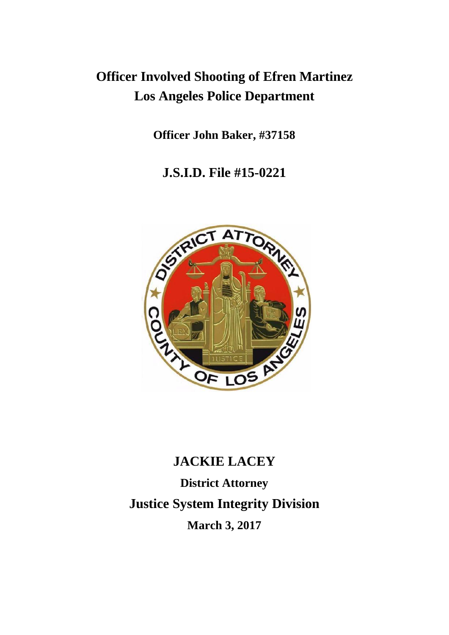## **Officer Involved Shooting of Efren Martinez Los Angeles Police Department**

**Officer John Baker, #37158**

**J.S.I.D. File #15-0221**



# **JACKIE LACEY District Attorney Justice System Integrity Division March 3, 2017**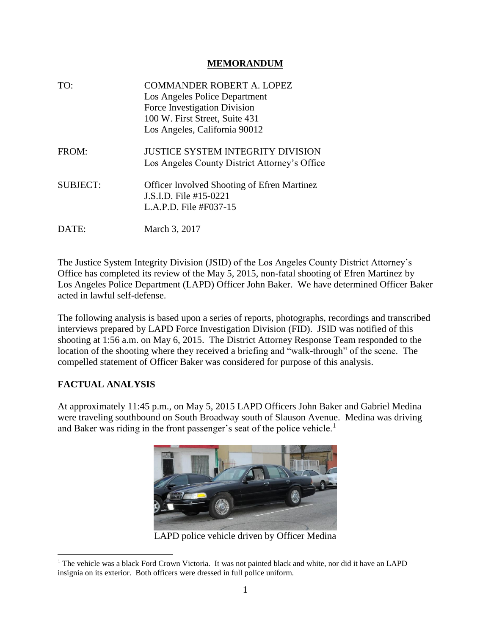#### **MEMORANDUM**

| TO:             | <b>COMMANDER ROBERT A. LOPEZ</b><br>Los Angeles Police Department<br>Force Investigation Division<br>100 W. First Street, Suite 431<br>Los Angeles, California 90012 |
|-----------------|----------------------------------------------------------------------------------------------------------------------------------------------------------------------|
| FROM:           | <b>JUSTICE SYSTEM INTEGRITY DIVISION</b><br>Los Angeles County District Attorney's Office                                                                            |
| <b>SUBJECT:</b> | <b>Officer Involved Shooting of Efren Martinez</b><br>J.S.I.D. File #15-0221<br>L.A.P.D. File #F037-15                                                               |
| DATE:           | March 3, 2017                                                                                                                                                        |

The Justice System Integrity Division (JSID) of the Los Angeles County District Attorney's Office has completed its review of the May 5, 2015, non-fatal shooting of Efren Martinez by Los Angeles Police Department (LAPD) Officer John Baker. We have determined Officer Baker acted in lawful self-defense.

The following analysis is based upon a series of reports, photographs, recordings and transcribed interviews prepared by LAPD Force Investigation Division (FID). JSID was notified of this shooting at 1:56 a.m. on May 6, 2015. The District Attorney Response Team responded to the location of the shooting where they received a briefing and "walk-through" of the scene. The compelled statement of Officer Baker was considered for purpose of this analysis.

#### **FACTUAL ANALYSIS**

At approximately 11:45 p.m., on May 5, 2015 LAPD Officers John Baker and Gabriel Medina were traveling southbound on South Broadway south of Slauson Avenue. Medina was driving and Baker was riding in the front passenger's seat of the police vehicle.<sup>1</sup>



LAPD police vehicle driven by Officer Medina

<sup>&</sup>lt;sup>1</sup> The vehicle was a black Ford Crown Victoria. It was not painted black and white, nor did it have an LAPD insignia on its exterior. Both officers were dressed in full police uniform.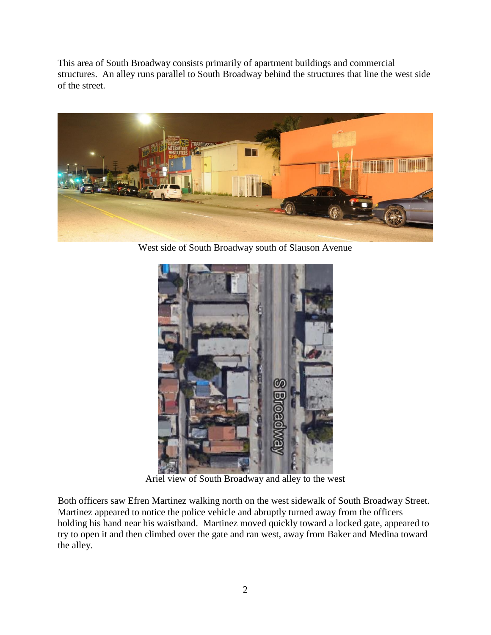This area of South Broadway consists primarily of apartment buildings and commercial structures. An alley runs parallel to South Broadway behind the structures that line the west side of the street.



West side of South Broadway south of Slauson Avenue



Ariel view of South Broadway and alley to the west

Both officers saw Efren Martinez walking north on the west sidewalk of South Broadway Street. Martinez appeared to notice the police vehicle and abruptly turned away from the officers holding his hand near his waistband. Martinez moved quickly toward a locked gate, appeared to try to open it and then climbed over the gate and ran west, away from Baker and Medina toward the alley.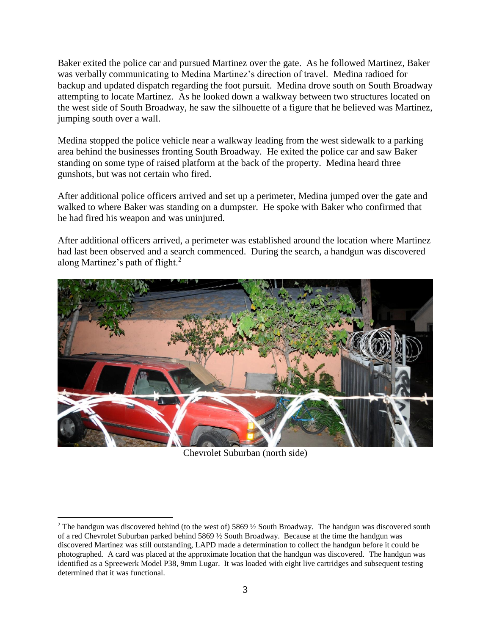Baker exited the police car and pursued Martinez over the gate. As he followed Martinez, Baker was verbally communicating to Medina Martinez's direction of travel. Medina radioed for backup and updated dispatch regarding the foot pursuit. Medina drove south on South Broadway attempting to locate Martinez. As he looked down a walkway between two structures located on the west side of South Broadway, he saw the silhouette of a figure that he believed was Martinez, jumping south over a wall.

Medina stopped the police vehicle near a walkway leading from the west sidewalk to a parking area behind the businesses fronting South Broadway. He exited the police car and saw Baker standing on some type of raised platform at the back of the property. Medina heard three gunshots, but was not certain who fired.

After additional police officers arrived and set up a perimeter, Medina jumped over the gate and walked to where Baker was standing on a dumpster. He spoke with Baker who confirmed that he had fired his weapon and was uninjured.

After additional officers arrived, a perimeter was established around the location where Martinez had last been observed and a search commenced. During the search, a handgun was discovered along Martinez's path of flight.<sup>2</sup>



Chevrolet Suburban (north side)

<sup>&</sup>lt;sup>2</sup> The handgun was discovered behind (to the west of) 5869  $\frac{1}{2}$  South Broadway. The handgun was discovered south of a red Chevrolet Suburban parked behind 5869 ½ South Broadway. Because at the time the handgun was discovered Martinez was still outstanding, LAPD made a determination to collect the handgun before it could be photographed. A card was placed at the approximate location that the handgun was discovered. The handgun was identified as a Spreewerk Model P38, 9mm Lugar. It was loaded with eight live cartridges and subsequent testing determined that it was functional.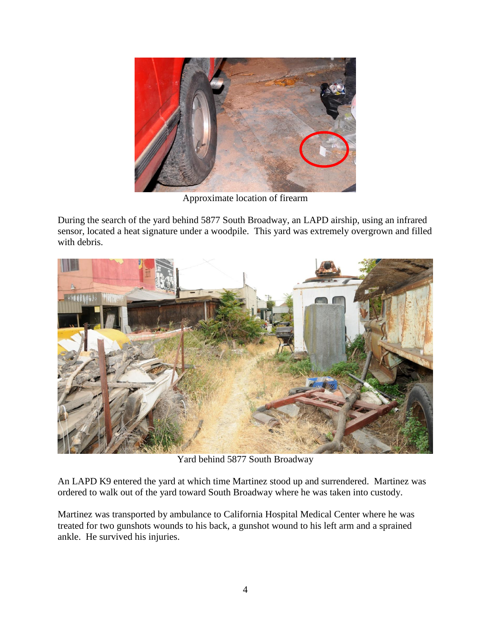

Approximate location of firearm

During the search of the yard behind 5877 South Broadway, an LAPD airship, using an infrared sensor, located a heat signature under a woodpile. This yard was extremely overgrown and filled with debris.



Yard behind 5877 South Broadway

An LAPD K9 entered the yard at which time Martinez stood up and surrendered. Martinez was ordered to walk out of the yard toward South Broadway where he was taken into custody.

Martinez was transported by ambulance to California Hospital Medical Center where he was treated for two gunshots wounds to his back, a gunshot wound to his left arm and a sprained ankle. He survived his injuries.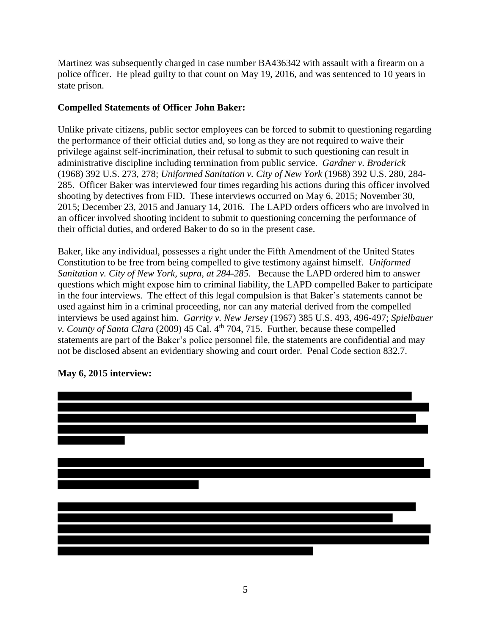Martinez was subsequently charged in case number BA436342 with assault with a firearm on a police officer. He plead guilty to that count on May 19, 2016, and was sentenced to 10 years in state prison.

#### **Compelled Statements of Officer John Baker:**

Unlike private citizens, public sector employees can be forced to submit to questioning regarding the performance of their official duties and, so long as they are not required to waive their privilege against self-incrimination, their refusal to submit to such questioning can result in administrative discipline including termination from public service. *Gardner v. Broderick* (1968) 392 U.S. 273, 278; *Uniformed Sanitation v. City of New York* (1968) 392 U.S. 280, 284- 285. Officer Baker was interviewed four times regarding his actions during this officer involved shooting by detectives from FID. These interviews occurred on May 6, 2015; November 30, 2015; December 23, 2015 and January 14, 2016. The LAPD orders officers who are involved in an officer involved shooting incident to submit to questioning concerning the performance of their official duties, and ordered Baker to do so in the present case.

Baker, like any individual, possesses a right under the Fifth Amendment of the United States Constitution to be free from being compelled to give testimony against himself. *Uniformed Sanitation v. City of New York, supra, at 284-285.* Because the LAPD ordered him to answer questions which might expose him to criminal liability, the LAPD compelled Baker to participate in the four interviews. The effect of this legal compulsion is that Baker's statements cannot be used against him in a criminal proceeding, nor can any material derived from the compelled interviews be used against him. *Garrity v. New Jersey* (1967) 385 U.S. 493, 496-497; *Spielbauer v. County of Santa Clara* (2009) 45 Cal. 4<sup>th</sup> 704, 715. Further, because these compelled statements are part of the Baker's police personnel file, the statements are confidential and may not be disclosed absent an evidentiary showing and court order. Penal Code section 832.7.



### **May 6, 2015 interview:**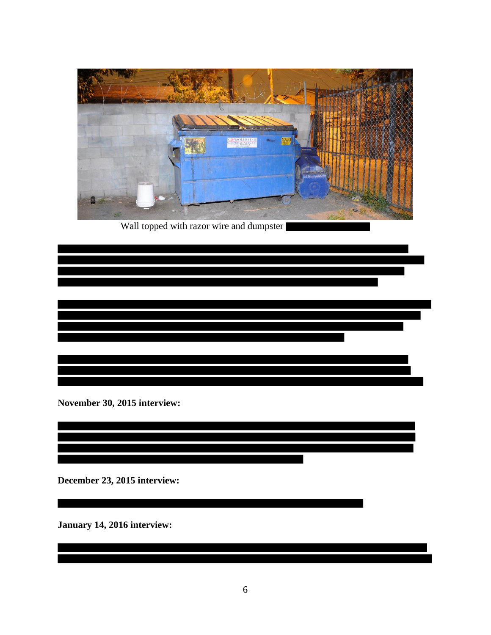

Wall topped with razor wire and dumpster

 $\overline{\phantom{a}}$ 

**November 30, 2015 interview:**

**December 23, 2015 interview:**

**January 14, 2016 interview:**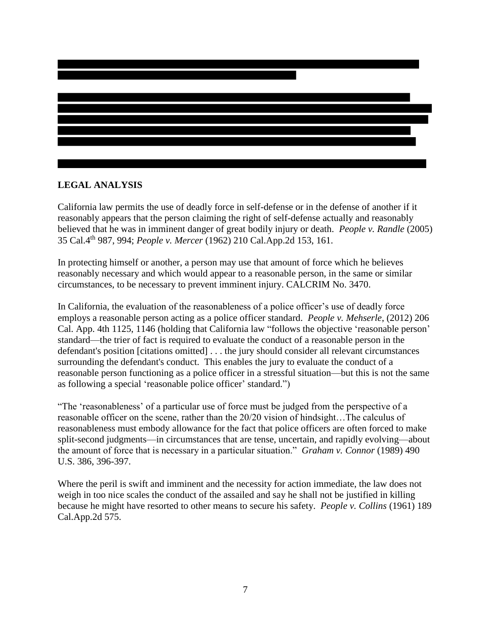

#### **LEGAL ANALYSIS**

California law permits the use of deadly force in self-defense or in the defense of another if it reasonably appears that the person claiming the right of self-defense actually and reasonably believed that he was in imminent danger of great bodily injury or death. *People v. Randle* (2005) 35 Cal.4th 987, 994; *People v. Mercer* (1962) 210 Cal.App.2d 153, 161.

In protecting himself or another, a person may use that amount of force which he believes reasonably necessary and which would appear to a reasonable person, in the same or similar circumstances, to be necessary to prevent imminent injury. CALCRIM No. 3470.

In California, the evaluation of the reasonableness of a police officer's use of deadly force employs a reasonable person acting as a police officer standard. *[People v. Mehserle](https://advance.lexis.com/api/document/collection/cases/id/55V4-VH01-F04B-N0PT-00000-00?context=1000516)*, (2012) 206 [Cal. App. 4th 1125,](https://advance.lexis.com/api/document/collection/cases/id/55V4-VH01-F04B-N0PT-00000-00?context=1000516) 1146 (holding that California law "follows the objective 'reasonable person' standard—the trier of fact is required to evaluate the conduct of a reasonable person in the defendant's position [citations omitted] . . . the jury should consider all relevant circumstances surrounding the defendant's conduct. This enables the jury to evaluate the conduct of a reasonable person functioning as a police officer in a stressful situation—but this is not the same as following a special 'reasonable police officer' standard.")

"The 'reasonableness' of a particular use of force must be judged from the perspective of a reasonable officer on the scene, rather than the 20/20 vision of hindsight…The calculus of reasonableness must embody allowance for the fact that police officers are often forced to make split-second judgments—in circumstances that are tense, uncertain, and rapidly evolving—about the amount of force that is necessary in a particular situation." *Graham v. Connor* (1989) 490 U.S. 386, 396-397.

Where the peril is swift and imminent and the necessity for action immediate, the law does not weigh in too nice scales the conduct of the assailed and say he shall not be justified in killing because he might have resorted to other means to secure his safety. *People v. Collins* (1961) 189 Cal.App.2d 575.